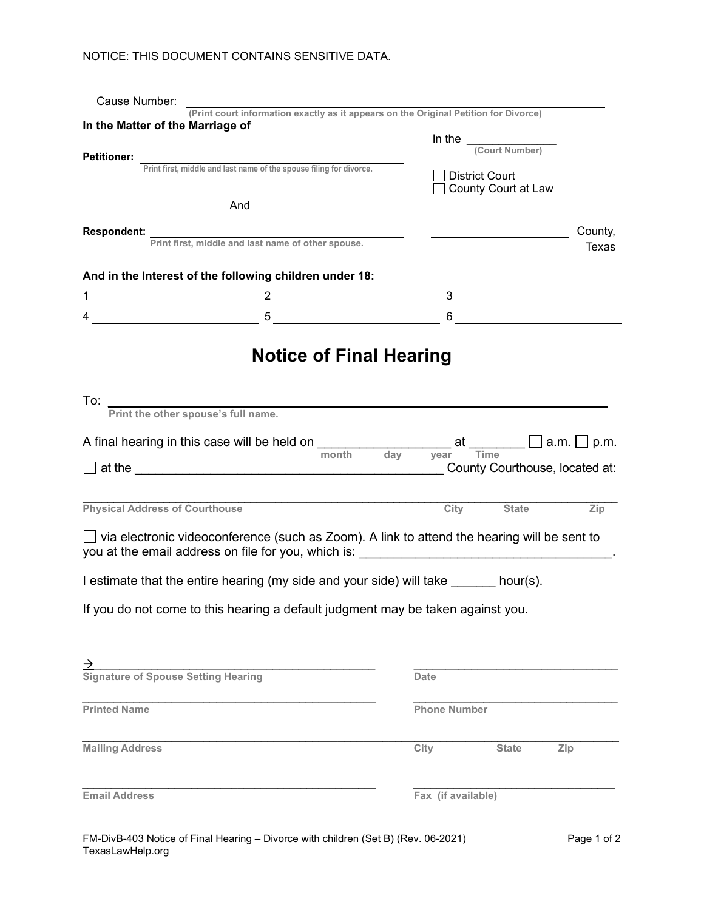## NOTICE: THIS DOCUMENT CONTAINS SENSITIVE DATA.

| Cause Number:                         |                                                                                                                                                                                                                                                                                                                                                                                              |                                |                     |                                              |                                |
|---------------------------------------|----------------------------------------------------------------------------------------------------------------------------------------------------------------------------------------------------------------------------------------------------------------------------------------------------------------------------------------------------------------------------------------------|--------------------------------|---------------------|----------------------------------------------|--------------------------------|
| In the Matter of the Marriage of      | (Print court information exactly as it appears on the Original Petition for Divorce)                                                                                                                                                                                                                                                                                                         |                                |                     |                                              |                                |
| <b>Petitioner:</b>                    |                                                                                                                                                                                                                                                                                                                                                                                              |                                |                     | In the $\frac{1}{\text{(Count Number)}}$     |                                |
|                                       | Print first, middle and last name of the spouse filing for divorce.                                                                                                                                                                                                                                                                                                                          |                                |                     | <b>District Court</b><br>County Court at Law |                                |
|                                       | And                                                                                                                                                                                                                                                                                                                                                                                          |                                |                     |                                              |                                |
| <b>Respondent:</b>                    |                                                                                                                                                                                                                                                                                                                                                                                              |                                |                     |                                              | County,                        |
|                                       | Print first, middle and last name of other spouse.                                                                                                                                                                                                                                                                                                                                           |                                |                     |                                              | Texas                          |
|                                       | And in the Interest of the following children under 18:                                                                                                                                                                                                                                                                                                                                      |                                |                     |                                              |                                |
|                                       |                                                                                                                                                                                                                                                                                                                                                                                              |                                |                     |                                              |                                |
|                                       | $4 \overline{\hspace{2cm} 5 \overline{\hspace{2cm} 5 \hspace{2cm} 5 \hspace{2cm} 5 \hspace{2cm} 5 \hspace{2cm} 5 \hspace{2cm} 5 \hspace{2cm} 5 \hspace{2cm} 5 \hspace{2cm} 5 \hspace{2cm} 5 \hspace{2cm} 5 \hspace{2cm} 5 \hspace{2cm} 5 \hspace{2cm} 5 \hspace{2cm} 5 \hspace{2cm} 5 \hspace{2cm} 5 \hspace{2cm} 5 \hspace{2cm} 5 \hspace{2cm} 5 \hspace{2cm} 5 \hspace{2cm} 5 \hspace{2cm$ |                                |                     | $6 \qquad \qquad$                            |                                |
| To: $\overline{\phantom{a}}$          | Print the other spouse's full name.                                                                                                                                                                                                                                                                                                                                                          | <b>Notice of Final Hearing</b> |                     |                                              |                                |
|                                       | A final hearing in this case will be held on $\Box$ and $\Box$ at $\Box$ a.m. $\Box$ p.m.                                                                                                                                                                                                                                                                                                    |                                |                     |                                              |                                |
|                                       |                                                                                                                                                                                                                                                                                                                                                                                              | month<br>day                   | vear                | Time                                         | County Courthouse, located at: |
|                                       |                                                                                                                                                                                                                                                                                                                                                                                              |                                |                     |                                              |                                |
| <b>Physical Address of Courthouse</b> |                                                                                                                                                                                                                                                                                                                                                                                              |                                | City                | <b>State</b>                                 | Zip                            |
|                                       | $\Box$ via electronic videoconference (such as Zoom). A link to attend the hearing will be sent to<br>you at the email address on file for you, which is:                                                                                                                                                                                                                                    |                                |                     |                                              |                                |
|                                       | I estimate that the entire hearing (my side and your side) will take ______ hour(s).                                                                                                                                                                                                                                                                                                         |                                |                     |                                              |                                |
|                                       | If you do not come to this hearing a default judgment may be taken against you.                                                                                                                                                                                                                                                                                                              |                                |                     |                                              |                                |
|                                       | $\overrightarrow{ }$<br>Signature of Spouse Setting Hearing                                                                                                                                                                                                                                                                                                                                  |                                |                     |                                              |                                |
|                                       |                                                                                                                                                                                                                                                                                                                                                                                              |                                | <b>Date</b>         |                                              |                                |
| <b>Printed Name</b>                   |                                                                                                                                                                                                                                                                                                                                                                                              |                                | <b>Phone Number</b> |                                              |                                |
| <b>Mailing Address</b>                |                                                                                                                                                                                                                                                                                                                                                                                              |                                | City                | <b>State</b>                                 | Zip                            |
| <b>Email Address</b>                  |                                                                                                                                                                                                                                                                                                                                                                                              |                                | Fax (if available)  |                                              |                                |